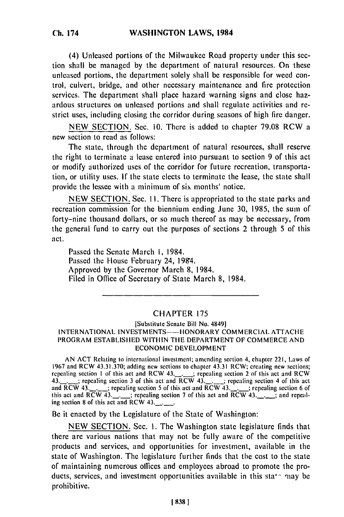(4) Unleased portions of the Milwaukee Road property under this section shall be managed by the department of natural resources. On these unleased portions, the department solely shall be responsible for weed control, culvert, bridge, and other necessary maintenance and fire protection services. The department shall place hazard warning signs and close hazardous structures on unleased portions and shall regulate activities and restrict uses, including closing the corridor during seasons of high fire danger.

NEW SECTION. Sec. 10. There is added to chapter 79.08 RCW a new section to read as follows:

The state, through the department of natural resources, shall reserve the right to terminate a lease entered into pursuant to section 9 of this act or modify authorized uses of the corridor for future recreation, transportation, or utility uses. If the state elects to terminate the lease, the state shall provide the lessee with a minimum of six months' notice.

NEW SECTION. Sec. II. There is appropriated to the state parks and recreation commission for the biennium ending June 30, 1985, the sum of forty-nine thousand dollars, or so much thereof as may be necessary, from the general fund to carry out the purposes of sections 2 through **5** of this act.

Passed the Senate March I, 1984. Passed the House February 24, 1984. Approved by the Governor March 8, 1984. Filed in Office of Secretary of State March 8, 1984.

## CHAPTER 175

## [Substitute Senate Bill No. 4849] INTERNATIONAL INVESTMENTS--HONORARY COMMERCIAL ATTACHE PROGRAM ESTABLISHED WITHIN THE DEPARTMENT OF COMMERCE AND ECONOMIC DEVELOPMENT

**AN** ACT Relating to international investment; amending section 4, chapter 221, Laws of 1967 and RCW 43.31.370; adding new sections to chapter 43.31 RCW; creating new sections; report and RCW 43.31.370; adding new sections to chapter 43.31 RCW; creating new sections<br>repealing section 1 of this act and RCW 43. ... ... acceling section 2 of this act and RCW repeating section 1 of this act and  $RCW$  43. $\frac{1}{2}$  repeating section 2 of this act and  $RCW$ 43.  $\frac{1}{100}$  repealing section 3 of this act and RCW 43.  $\frac{1}{1000}$  repealing section 4 of this act and  $\frac{1}{1000}$  repealing section 6 of and RCW 43.  $\ldots$ ; repeating section 5 of this act and RCW 43.  $\ldots$ ; repeating section 6 of this act and RCW 43. ing act and RCW 43.<sup>2</sup>.<sup>2</sup>. repeath

Be it enacted by the Legislature of the State of Washington:

NEW SECTION. Sec. I. The Washington state legislature finds that there are various nations that may not be fully aware of the competitive products and services, and opportunities for investment, available in the state of Washington. The legislature further finds that the cost to the state of maintaining numerous offices and employees abroad to promote the products, services, and investment opportunities available in this sta<sup> $\sim$ </sup> may be prohibitive.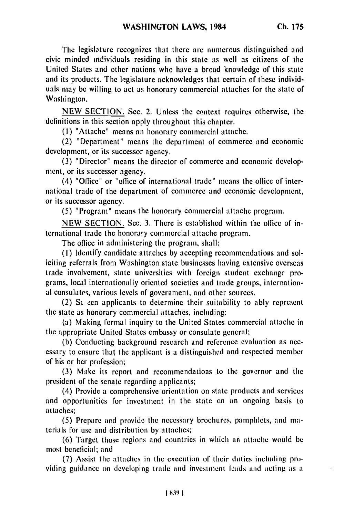**The** legislature recognizes that **there** are numerous distinguished and civic minded individuals residing in this state as well as citizens of the United States and other nations who have a broad knowledge of this state and its products. **The** legislature acknowledges that certain of these individuals may **be** willing to act as honorary commercial attaches for the state of Washington.

**NEW SECTION.** Sec. 2. Unless the context requires otherwise, the definitions in this section apply throughout this chapter.

**(1)** "Attache" means an honorary commercial attache.

(2) "Department" means the department of commerce and economic development, or its successor agency.

(3) "Director" means the director of commerce and economic development, or its successor agency.

(4) "Office" or "office of international trade" means the office of international trade of the department of commerce and economic development, or its successor agency.

(5) "Program" means the honorary commercial attache program.

NEW SECTION. Sec. 3. There is established within the office of international trade the honorary commercial attache program.

The office in administering the program, shall:

(I) Identify candidate attaches by accepting recommendations and soliciting referrals from Washington state businesses having extensive overseas trade involvement, state universities with foreign student exchange programs, local internationally oriented societies and trade groups, international consulates, various levels of government, and other sources.

(2) S<sub>L</sub> een applicants to determine their suitability to ably represent the state as honorary commercial attaches, including:

(a) Making formal inquiry to the United States commercial attache in the appropriate United States embassy or consulate general;

(b) Conducting background research and reference evaluation as necessary to ensure that the applicant is a distinguished and respected member of his or her profession;

(3) Make its report and recommendations to the governor and the president of the senate regarding applicants;

(4) Provide a comprehensive orientation on state products and services and opportunities for investment in the state on an ongoing basis to attaches;

(5) Prepare and provide the necessary brochures, pamphlets, and materials for use and distribution by attaches;

(6) Target those regions and countries in which an attache would be most benelicial; and

**(7)** Assist the attaches in the execution of their duties including providing guidance on developing trade and investment leads and acting as a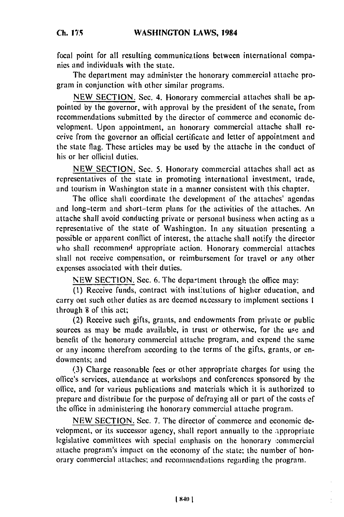*Ch.* **175**

focal point for all resulting communications between international companies and individuals with the state.

The department may administer the honorary commercial attache program in conjunction with other similar programs.

NEW SECTION. Sec. 4. Honorary commercial attaches shall be appointed by the governor, with approval by the president of the senate, from recommendations submitted by the director of commerce and economic development. Upon appointment, an honorary commercial attache shall receive from the governor an official certificate and letter of appointment and the state flag. These articles may be used by the attache in the conduct of' his or her official duties.

NEW SECTION. Sec. 5. Honorary commercial attaches shall act as representatives of the state in promoting international investment, trade, and tourism in Washington state in a manner consistent with this chapter.

The office shall coordinate the development of the attaches' agendas and long-term and short-term plans for the activities of the attaches. An attache shall avoid conducting private or personal business when acting as a representative of the state of Washington. In any situation presenting a possible or apparent conflict of interest, the attache shall notify the director who shall recommend appropriate action. Honorary commercial attaches shall not receive compensation, or reimbursement for travel or any other expenses associated with their duties.

NEW SECTION. Sec. 6. The department through the office may:

**(1)** Receive funds, contract with instltutions of higher education, and carry out such other duties as are deemed necessary to implement sections 1 through 8 of this act;

(2) Receive such gifts, grants, and endowments from private or public sources as may be made available, in trust or otherwise, for the use and benefit of the honorary commercial attache program, and expend the same or any income therefrom according to the terms of the gifts, grants, or endowments; and

(3) Charge reasonable fees or other appropriate charges for using the office's services, attendance at workshops and conferences sponsored by the office, and for various publications and materials which it is authorized to prepare and distribute for the purpose of defraying all or part of the costs ef the office in administering the honorary commercial attache program.

NEW SECTION. Sec. 7. The director of commerce and economic development, or its successor agency, shall report annually to the appropriate legislative committees with special emphasis on the honorary :ommercial attache program's impact on the economy of the state; the number of honorary commercial attaches; and recommendations regarding the program.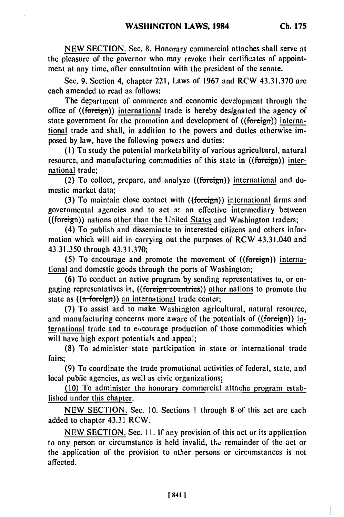**NEW SECTION.** Sec. **8.** Honorary commercial attaches shall serve at the pleasure of the governor who may revoke their certificates of appointment at any time, after consultation with the president **of** the senate.

Sec. **9.** Section 4, chapter 221, Laws of **1967** and RCW **43.31.370** arc each amended to read as follows:

The department of commerce and economic development through the office of  $((\text{foreign})$  international trade is hereby designated the agency of state government for the promotion and development of ((foreign)) international trade and shall, in addition to the powers and duties otherwise imposed **by** law, have the following powers and duties:

**(1)** To study the potential marketability of various agricultural, natural resource, and manufacturing commodities of this state in ((foreign)) international trade;

(2) To collect, prepare, and analyze ((foreign)) international and domestic market data;

**(3)** To maintain close contact with ((foreign)) international firms and governmental agencies and to act as an effective intermediary between ((foreign)) nations other than **the** United States and Washington traders;

(4) To publish and disseminate to interested citizens and others information which will aid in carrying out the purposes of RCW 43.31.040 and 43 **31.350** through **43.31.370;**

**(5)** To encourage and promote the movement of ((foreign)) international and domestic goods through the ports of Washington;

**(6)** To conduct an active program **by** sending representatives to, or engaging representatives in, ((foreign **countries))** other nations to promote the state as  $((a$ -foreign)) an international trade center;

(7) To assist and to make Washington agricultural, natural resource, and manufacturing concerns more aware of the potentials of ((foreign)) international trade and to eacourage production of those commodities which will have high export potentials and appeal;

**(8)** To administer state participation in state or international trade fairs;

(9) To coordinate the trade promotional activities of federal, state, and local public agencies, as well as civic organizations;

(10) To administer the honorary commercial attache program established under this chapter.

NEW SECTION. Sec. 10. Sections **I** through **8** of this act are each added to chapter 43.31 RCW.

NEW SECTION. Sec. **I1.** If any provision of this act or its application to any person or circumstance is held invalid, the remainder of the act or the application of the provision to other persons or circumstances is not affected.